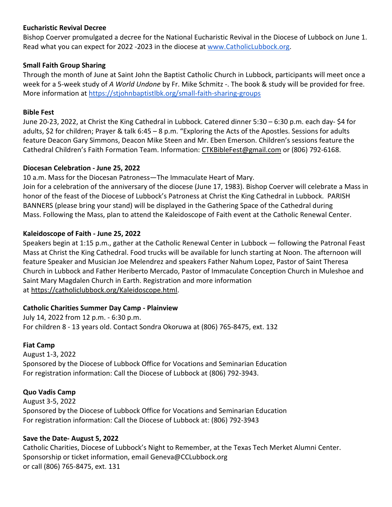# **Eucharistic Revival Decree**

Bishop Coerver promulgated a decree for the National Eucharistic Revival in the Diocese of Lubbock on June 1. Read what you can expect for 2022 -2023 in the diocese at [www.CatholicLubbock.org.](http://www.catholiclubbock.org/)

## **Small Faith Group Sharing**

Through the month of June at Saint John the Baptist Catholic Church in Lubbock, participants will meet once a week for a 5-week study of *A World Undone* by Fr. Mike Schmitz -. The book & study will be provided for free. More information at <https://stjohnbaptistlbk.org/small-faith-sharing-groups>

#### **Bible Fest**

June 20-23, 2022, at Christ the King Cathedral in Lubbock. Catered dinner 5:30 – 6:30 p.m. each day- \$4 for adults, \$2 for children; Prayer & talk 6:45 – 8 p.m. "Exploring the Acts of the Apostles. Sessions for adults feature Deacon Gary Simmons, Deacon Mike Steen and Mr. Eben Emerson. Children's sessions feature the Cathedral Children's Faith Formation Team. Information: [CTKBibleFest@gmail.com](mailto:CTKBibleFest@gmail.com) or (806) 792-6168.

## **Diocesan Celebration - June 25, 2022**

10 a.m. Mass for the Diocesan Patroness—The Immaculate Heart of Mary.

Join for a celebration of the anniversary of the diocese (June 17, 1983). Bishop Coerver will celebrate a Mass in honor of the feast of the Diocese of Lubbock's Patroness at Christ the King Cathedral in Lubbock. PARISH BANNERS (please bring your stand) will be displayed in the Gathering Space of the Cathedral during Mass. Following the Mass, plan to attend the Kaleidoscope of Faith event at the Catholic Renewal Center.

## **Kaleidoscope of Faith - June 25, 2022**

Speakers begin at 1:15 p.m., gather at the Catholic Renewal Center in Lubbock — following the Patronal Feast Mass at Christ the King Cathedral. Food trucks will be available for lunch starting at Noon. The afternoon will feature Speaker and Musician Joe Melendrez and speakers Father Nahum Lopez, Pastor of Saint Theresa Church in Lubbock and Father Heriberto Mercado, Pastor of Immaculate Conception Church in Muleshoe and Saint Mary Magdalen Church in Earth. Registration and more information at [https://catholiclubbock.org/Kaleidoscope.html.](https://catholiclubbock.org/Kaleidoscope.html)

# **Catholic Charities Summer Day Camp - Plainview**

July 14, 2022 from 12 p.m. - 6:30 p.m. For children 8 - 13 years old. Contact Sondra Okoruwa at (806) 765-8475, ext. 132

#### **Fiat Camp**

August 1-3, 2022 Sponsored by the Diocese of Lubbock Office for Vocations and Seminarian Education For registration information: Call the Diocese of Lubbock at (806) 792-3943.

# **Quo Vadis Camp**

August 3-5, 2022 Sponsored by the Diocese of Lubbock Office for Vocations and Seminarian Education For registration information: Call the Diocese of Lubbock at: (806) 792-3943

# **Save the Date- August 5, 2022**

Catholic Charities, Diocese of Lubbock's Night to Remember, at the Texas Tech Merket Alumni Center. Sponsorship or ticket information, email Geneva@CCLubbock.org or call (806) 765-8475, ext. 131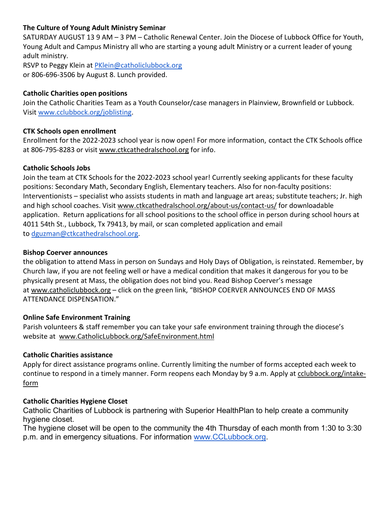# **The Culture of Young Adult Ministry Seminar**

SATURDAY AUGUST 13 9 AM – 3 PM – Catholic Renewal Center. Join the Diocese of Lubbock Office for Youth, Young Adult and Campus Ministry all who are starting a young adult Ministry or a current leader of young adult ministry.

RSVP to Peggy Klein at [PKlein@catholiclubbock.org](mailto:PKlein@catholiclubbock.org) or 806-696-3506 by August 8. Lunch provided.

# **Catholic Charities open positions**

Join the Catholic Charities Team as a Youth Counselor/case managers in Plainview, Brownfield or Lubbock. Visit [www.cclubbock.org/joblisting.](http://www.cclubbock.org/joblisting)

## **CTK Schools open enrollment**

Enrollment for the 2022-2023 school year is now open! For more information, contact the CTK Schools office at 806-795-8283 or visit [www.ctkcathedralschool.org](http://www.ctkcathedralschool.org/) for info.

## **Catholic Schools Jobs**

Join the team at CTK Schools for the 2022-2023 school year! Currently seeking applicants for these faculty positions: Secondary Math, Secondary English, Elementary teachers. Also for non-faculty positions: Interventionists – specialist who assists students in math and language art areas; substitute teachers; Jr. high and high school coaches. Visit [www.ctkcathedralschool.org/about-us/contact-us/](http://www.ctkcathedralschool.org/about-us/contact-us/) for downloadable application. Return applications for all school positions to the school office in person during school hours at 4011 54th St., Lubbock, Tx 79413, by mail, or scan completed application and email to [dguzman@ctkcathedralschool.org.](mailto:dguzman@ctkcathedralschool.org)

#### **Bishop Coerver announces**

the obligation to attend Mass in person on Sundays and Holy Days of Obligation, is reinstated. Remember, by Church law, if you are not feeling well or have a medical condition that makes it dangerous for you to be physically present at Mass, the obligation does not bind you. Read Bishop Coerver's message at [www.catholiclubbock.org](http://www.catholiclubbock.org/) – click on the green link, "BISHOP COERVER ANNOUNCES END OF MASS ATTENDANCE DISPENSATION."

#### **Online Safe Environment Training**

Parish volunteers & staff remember you can take your safe environment training through the diocese's website at [www.CatholicLubbock.org/SafeEnvironment.html](http://www.catholiclubbock.org/SafeEnvironment.html)

# **Catholic Charities assistance**

Apply for direct assistance programs online. Currently limiting the number of forms accepted each week to continue to respond in a timely manner. Form reopens each Monday by 9 a.m. Apply at [cclubbock.org/intake](http://cclubbock.org/intake-form)[form](http://cclubbock.org/intake-form)

#### **Catholic Charities Hygiene Closet**

Catholic Charities of Lubbock is partnering with Superior HealthPlan to help create a community hygiene closet.

The hygiene closet will be open to the community the 4th Thursday of each month from 1:30 to 3:30 p.m. and in emergency situations. For information [www.CCLubbock.org.](http://www.cclubbock.org/)